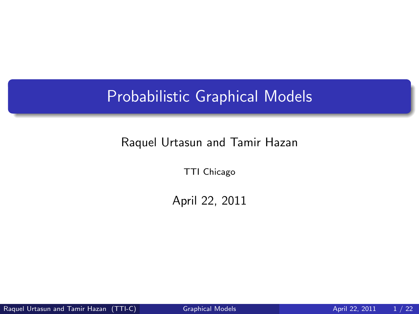### Probabilistic Graphical Models

#### Raquel Urtasun and Tamir Hazan

TTI Chicago

<span id="page-0-0"></span>April 22, 2011

Raquel Urtasun and Tamir Hazan (TTI-C) [Graphical Models](#page-21-0) April 22, 2011 1/22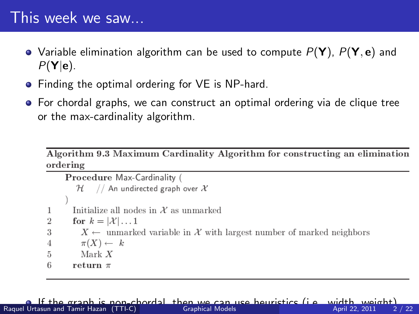#### This week we saw...

- Variable elimination algorithm can be used to compute  $P(Y)$ ,  $P(Y, e)$  and  $P(Y|e)$ .
- Finding the optimal ordering for VE is NP-hard.
- For chordal graphs, we can construct an optimal ordering via de clique tree or the max-cardinality algorithm.

Algorithm 9.3 Maximum Cardinality Algorithm for constructing an elimination ordering

```
Procedure Max-Cardinality (
         \mathcal{H} // An undirected graph over \mathcal XInitialize all nodes in X as unmarked
1
        for k = |\mathcal{X}| \dots 1\overline{2}X \leftarrow unmarked variable in X with largest number of marked neighbors
3
          \pi(X) \leftarrow k\overline{A}Mark X5
-6
        return \pi
```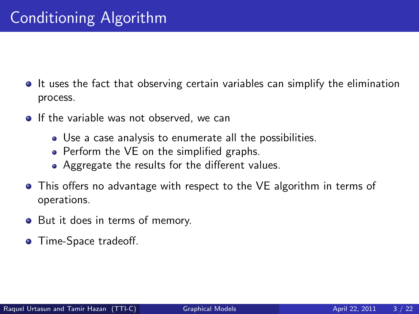- **It uses the fact that observing certain variables can simplify the elimination** process.
- $\bullet$  If the variable was not observed, we can
	- Use a case analysis to enumerate all the possibilities.
	- Perform the VE on the simplified graphs.
	- Aggregate the results for the different values.
- This offers no advantage with respect to the VE algorithm in terms of operations.
- But it does in terms of memory.
- **•** Time-Space tradeoff.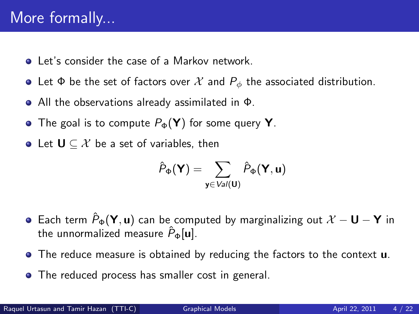### More formally...

- **Let's consider the case of a Markov network.**
- Let  $\Phi$  be the set of factors over  $\mathcal X$  and  $P_{\phi}$  the associated distribution.
- All the observations already assimilated in Φ.
- The goal is to compute  $P_{\Phi}(\mathbf{Y})$  for some query **Y**.
- Let  $U \subseteq \mathcal{X}$  be a set of variables, then

$$
\hat{P}_{\Phi}(\boldsymbol{\mathsf{Y}}) = \sum_{\boldsymbol{\mathsf{y}} \in \textit{Val}(\boldsymbol{\mathsf{U}})} \hat{P}_{\Phi}(\boldsymbol{\mathsf{Y}}, \boldsymbol{\mathsf{u}})
$$

- $\bullet$  Each term  $\hat{P}_{\Phi}(\mathbf{Y}, \mathbf{u})$  can be computed by marginalizing out  $\mathcal{X} \mathbf{U} \mathbf{Y}$  in the unnormalized measure  $\hat{P}_{\Phi}[\mathbf{u}]$ .
- The reduce measure is obtained by reducing the factors to the context **u**.
- The reduced process has smaller cost in general.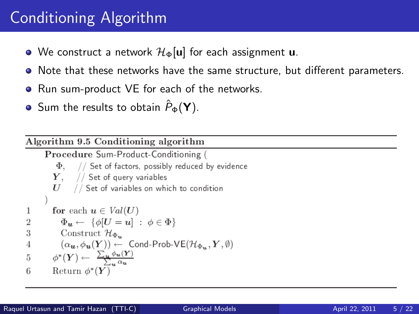# Conditioning Algorithm

- We construct a network  $\mathcal{H}_{\Phi}[\mathbf{u}]$  for each assignment **u**.
- Note that these networks have the same structure, but different parameters.
- Run sum-product VE for each of the networks.
- **•** Sum the results to obtain  $\hat{P}_{\Phi}(\mathbf{Y})$ .

Algorithm 9.5 Conditioning algorithm Procedure Sum-Product-Conditioning (  $\Phi$ , // Set of factors, possibly reduced by evidence  $Y$ , // Set of query variables  $U$  // Set of variables on which to condition for each  $u \in Val(U)$ 1  $\Phi_{\boldsymbol{u}} \leftarrow {\{\phi|U=u\}} : \phi \in \Phi$  $\overline{2}$ 3 Construct  $\mathcal{H}_{\Phi_{\infty}}$  $(\alpha_{\boldsymbol{u}}, \phi_{\boldsymbol{u}}(Y)) \leftarrow$  Cond-Prob-VE $(\mathcal{H}_{\Phi_{\boldsymbol{u}}}, Y, \emptyset)$  $\overline{4}$  $\phi^*(Y) \leftarrow \frac{\sum_u \phi_u(Y)}{\gamma_u}$ 5 6 Return  $\phi^*(Y)$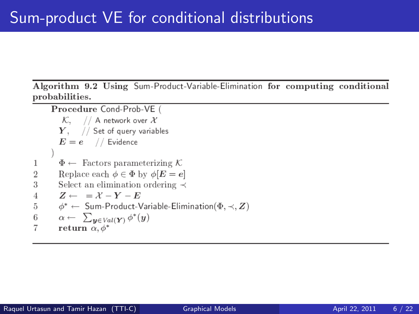Algorithm 9.2 Using Sum-Product-Variable-Elimination for computing conditional probabilities.

Procedure Cond-Prob-VE (  $\mathcal{K}, \quad //$  A network over  $\mathcal X$  $Y$ , // Set of query variables  $E = e$  // Evidence  $\Phi \leftarrow$  Factors parameterizing K 1 Replace each  $\phi \in \Phi$  by  $\phi[E = e]$  $\overline{2}$ 3 Select an elimination ordering  $\prec$  $Z \leftarrow = X - Y - E$  $\overline{4}$ 5  $\phi^* \leftarrow$  Sum-Product-Variable-Elimination( $\Phi, \prec, Z$ )  $\alpha \leftarrow \sum_{y \in Val(Y)} \phi^*(y)$ 6  $\overline{7}$ return  $\alpha$ ,  $\phi^*$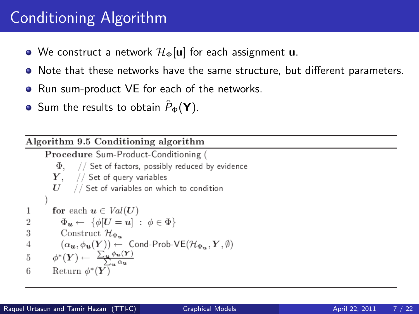# Conditioning Algorithm

- We construct a network  $\mathcal{H}_{\Phi}[\mathbf{u}]$  for each assignment **u**.
- Note that these networks have the same structure, but different parameters.
- Run sum-product VE for each of the networks.
- **•** Sum the results to obtain  $\hat{P}_{\Phi}(\mathbf{Y})$ .

Algorithm 9.5 Conditioning algorithm Procedure Sum-Product-Conditioning (  $\Phi$ , // Set of factors, possibly reduced by evidence  $Y$ , // Set of query variables  $U$  // Set of variables on which to condition for each  $u \in Val(U)$ 1  $\Phi_{\boldsymbol{u}} \leftarrow {\{\phi|U=u\}} : \phi \in \Phi$  $\overline{2}$ 3 Construct  $\mathcal{H}_{\Phi_{\infty}}$  $(\alpha_{\boldsymbol{u}}, \phi_{\boldsymbol{u}}(Y)) \leftarrow$  Cond-Prob-VE $(\mathcal{H}_{\Phi_{\boldsymbol{u}}}, Y, \emptyset)$  $\overline{4}$  $\phi^*(Y) \leftarrow \frac{\sum_u \phi_u(Y)}{\gamma_u}$ 5 6 Return  $\phi^*(Y)$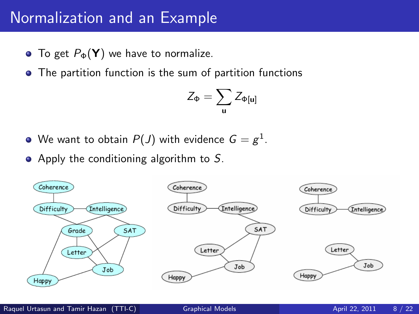#### Normalization and an Example

- To get  $P_{\Phi}(\mathbf{Y})$  we have to normalize.
- The partition function is the sum of partition functions

$$
Z_\Phi = \sum_{\mathbf{u}} Z_{\Phi[\mathbf{u}]}
$$

- We want to obtain  $P(J)$  with evidence  $G=g^1.$
- Apply the conditioning algorithm to  $S$ .

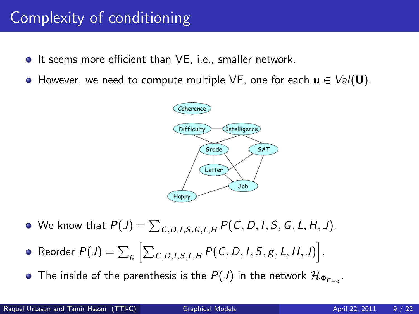### Complexity of conditioning

- **It seems more efficient than VE, i.e., smaller network.**
- However, we need to compute multiple VE, one for each  $u \in Val(U)$ .



- We know that  $P(J) = \sum_{C,D,I,S,G,L,H} P(C,D,I,S,G,L,H,J).$
- Reorder  $P(J) = \sum_{\mathcal{g}} \left[ \sum_{\mathcal{C}, D, I, \mathcal{S}, L, H} P(\mathcal{C}, D, I, \mathcal{S}, \mathcal{g}, L, H, J) \right].$
- The inside of the parenthesis is the  $P(J)$  in the network  $\mathcal{H}_{\Phi_{G=g}}$ .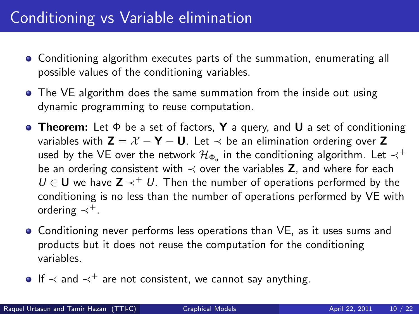### Conditioning vs Variable elimination

- Conditioning algorithm executes parts of the summation, enumerating all possible values of the conditioning variables.
- The VE algorithm does the same summation from the inside out using dynamic programming to reuse computation.
- **Theorem:** Let  $\Phi$  be a set of factors, **Y** a query, and **U** a set of conditioning variables with  $Z = X - Y - U$ . Let  $\prec$  be an elimination ordering over Z used by the VE over the network  $\mathcal{H}_{\Phi_{\mathsf{u}}}$  in the conditioning algorithm. Let  $\prec^+$ be an ordering consistent with  $\prec$  over the variables Z, and where for each  $U \in U$  we have  $Z \prec^+ U$ . Then the number of operations performed by the conditioning is no less than the number of operations performed by VE with ordering  $\prec^+$ .
- Conditioning never performs less operations than VE, as it uses sums and products but it does not reuse the computation for the conditioning variables.
- $\bullet$  If  $\prec$  and  $\prec^+$  are not consistent, we cannot say anything.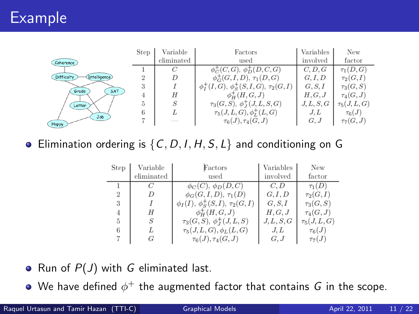|                             | <b>Step</b>    | Variable   | Factors                                       | Variables  | New             |
|-----------------------------|----------------|------------|-----------------------------------------------|------------|-----------------|
| Coherence                   |                | eliminated | used                                          | involved   | factor          |
|                             |                |            | $\phi_C^+(C, G)$ , $\phi_D^+(D, C, G)$        | C, D, G    | $\tau_1(D,G)$   |
| Intelligence)<br>Difficulty | $\overline{2}$ |            | $\phi_G^+(G, I, D), \tau_1(D, G)$             | G, I, D    | $\tau_2(G,I)$   |
| SAT<br><b>Grade</b>         | 3              |            | $\phi_I^+(I,G), \phi_S^+(S,I,G), \tau_2(G,I)$ | G, S, I    | $\tau_3(G, S)$  |
|                             | 4              | Н          | $\phi^+_{H}(H, G, J)$                         | H, G, J    | $\tau_4(G,J)$   |
| Letter                      | 5              | S          | $\tau_3(G, S), \phi_I^+(J, L, S, G)$          | J, L, S, G | $\tau_5(J,L,G)$ |
| Job                         | 6              | L          | $\tau_5(J,L,G), \phi_L^+(L,G)$                | J.L        | $\tau_6(J)$     |
| Happy                       |                |            | $\tau_6(J), \tau_4(G, J)$                     | G, J       | $\tau_7(G,J)$   |

• Elimination ordering is  $\{C, D, I, H, S, L\}$  and conditioning on G

| Step | Variable   | Factors                                   | Variables  | New             |
|------|------------|-------------------------------------------|------------|-----------------|
|      | eliminated | used                                      | involved   | factor          |
|      |            | $\phi_C(C), \phi_D(D, C)$                 | C, D       | $\tau_1(D)$     |
| 2    |            | $\phi_G(G, I, D), \tau_1(D)$              | G, I, D    | $\tau_2(G,I)$   |
| 3    |            | $\phi_I(I), \phi_S^+(S, I), \tau_2(G, I)$ | G, S, I    | $\tau_3(G, S)$  |
| 4    | Η          | $\phi^+_{H}(H, G, J)$                     | H, G, J    | $\tau_4(G,J)$   |
| 5    | S          | $\tau_3(G, S), \phi_J^+(J, L, S)$         | J, L, S, G | $\tau_5(J,L,G)$ |
| 6    |            | $\tau_5(J,L,G), \phi_L(L,G)$              | J, L       | $\tau_6(J)$     |
|      |            | $\tau_6(J), \tau_4(G, J)$                 | G, J       | $\tau_7(J)$     |

- Run of  $P(J)$  with G eliminated last.
- We have defined  $\phi^+$  the augmented factor that contains  $G$  in the scope.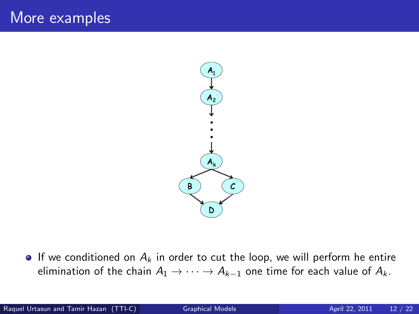

If we conditioned on  $A_k$  in order to cut the loop, we will perform he entire elimination of the chain  $A_1 \rightarrow \cdots \rightarrow A_{k-1}$  one time for each value of  $A_k$ .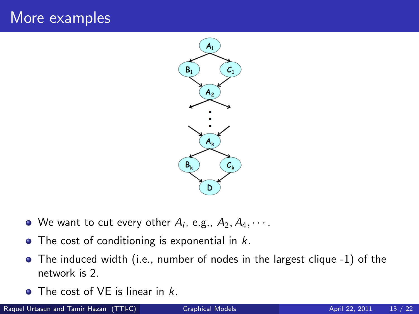### More examples



- We want to cut every other  $A_i$ , e.g.,  $A_2, A_4, \cdots$ .
- $\bullet$  The cost of conditioning is exponential in  $k$ .
- The induced width (i.e., number of nodes in the largest clique -1) of the network is 2.
- $\bullet$  The cost of VF is linear in  $k$ .

Raquel Urtasun and Tamir Hazan (TTI-C) [Graphical Models](#page-0-0) **April 22, 2011** 13 / 22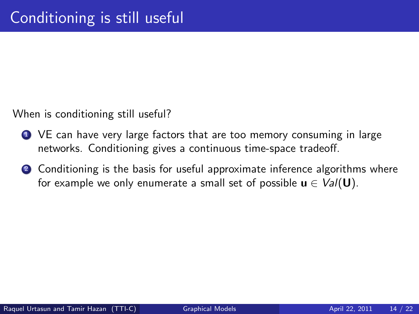When is conditioning still useful?

- **1** VE can have very large factors that are too memory consuming in large networks. Conditioning gives a continuous time-space tradeoff.
- 2 Conditioning is the basis for useful approximate inference algorithms where for example we only enumerate a small set of possible  $u \in \text{Val}(\mathbf{U})$ .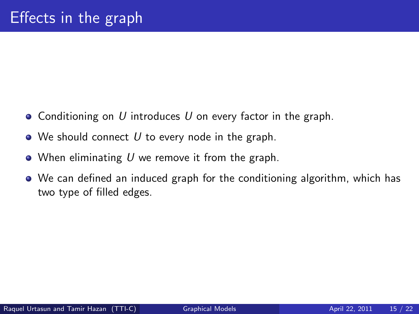- Conditioning on U introduces U on every factor in the graph.
- $\bullet$  We should connect U to every node in the graph.
- $\bullet$  When eliminating U we remove it from the graph.
- We can defined an induced graph for the conditioning algorithm, which has two type of filled edges.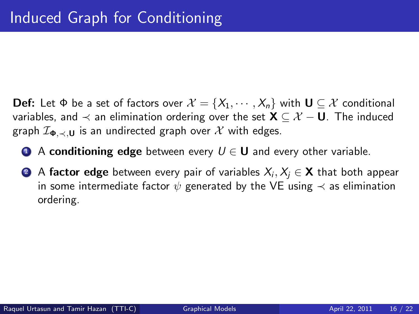**Def:** Let  $\Phi$  be a set of factors over  $\mathcal{X} = \{X_1, \dots, X_n\}$  with  $\mathbf{U} \subseteq \mathcal{X}$  conditional variables, and  $\prec$  an elimination ordering over the set  $X \subset \mathcal{X} - U$ . The induced graph  $\mathcal{I}_{\Phi, \prec, U}$  is an undirected graph over X with edges.

- **1** A conditioning edge between every  $U \in U$  and every other variable.
- $\bullet$   $\bullet$  <code>factor</code> edge between every pair of variables  $\mathsf{X}_{i},\mathsf{X}_{j}\in\mathsf{X}$  that both appear in some intermediate factor  $\psi$  generated by the VE using  $\prec$  as elimination ordering.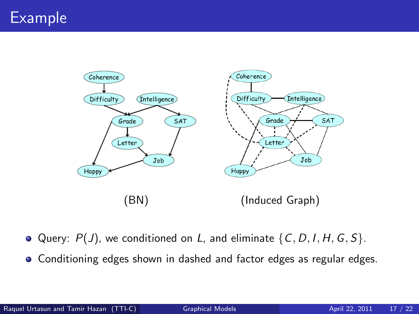

- Query:  $P(J)$ , we conditioned on L, and eliminate  $\{C, D, I, H, G, S\}$ .
- Conditioning edges shown in dashed and factor edges as regular edges.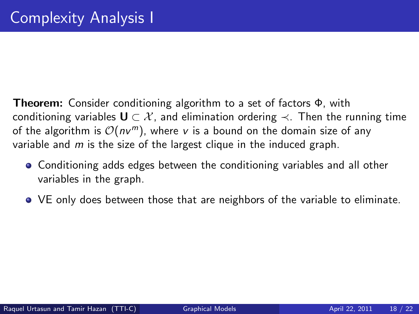- Theorem: Consider conditioning algorithm to a set of factors Φ, with conditioning variables  $\mathbf{U} \subset \mathcal{X}$ , and elimination ordering  $\prec$ . Then the running time of the algorithm is  $\mathcal{O}(nv^m)$ , where v is a bound on the domain size of any variable and  $m$  is the size of the largest clique in the induced graph.
	- Conditioning adds edges between the conditioning variables and all other variables in the graph.
	- VE only does between those that are neighbors of the variable to eliminate.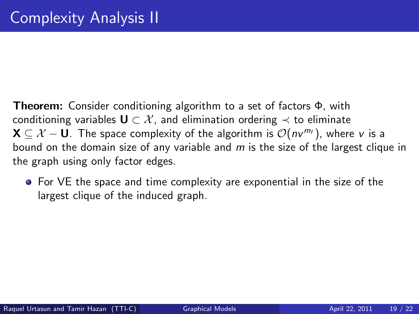Theorem: Consider conditioning algorithm to a set of factors Φ, with conditioning variables  $\mathbf{U} \subset \mathcal{X}$ , and elimination ordering  $\prec$  to eliminate  $\mathbf{X} \subset \mathcal{X} - \mathbf{U}$ . The space complexity of the algorithm is  $\mathcal{O}(nv^{m_f})$ , where v is a bound on the domain size of any variable and m is the size of the largest clique in the graph using only factor edges.

• For VE the space and time complexity are exponential in the size of the largest clique of the induced graph.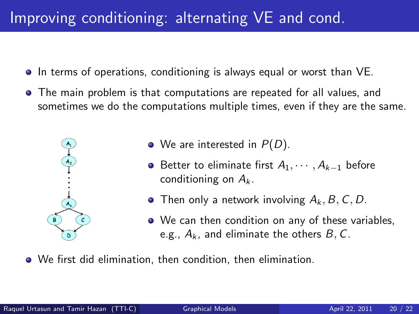# Improving conditioning: alternating VE and cond.

- In terms of operations, conditioning is always equal or worst than VE.
- The main problem is that computations are repeated for all values, and sometimes we do the computations multiple times, even if they are the same.



- $\bullet$  We are interested in  $P(D)$ .
- **•** Better to eliminate first  $A_1, \cdots, A_{k-1}$  before conditioning on  $A_k$ .
- Then only a network involving  $A_k$ ,  $B$ ,  $C$ ,  $D$ .
- We can then condition on any of these variables, e.g.,  $A_k$ , and eliminate the others  $B, C$ .
- We first did elimination, then condition, then elimination.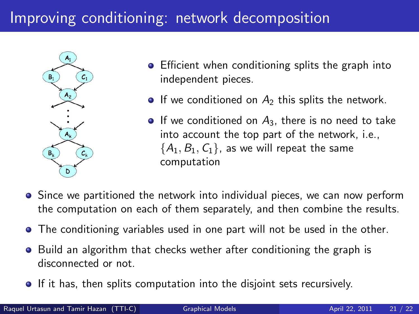# Improving conditioning: network decomposition



- **•** Efficient when conditioning splits the graph into independent pieces.
- $\bullet$  If we conditioned on  $A_2$  this splits the network.
- $\bullet$  If we conditioned on  $A_3$ , there is no need to take into account the top part of the network, i.e.,  ${A_1, B_1, C_1}$ , as we will repeat the same computation
- **•** Since we partitioned the network into individual pieces, we can now perform the computation on each of them separately, and then combine the results.
- The conditioning variables used in one part will not be used in the other.
- Build an algorithm that checks wether after conditioning the graph is disconnected or not.
- **If it has, then splits computation into the disjoint sets recursively.**